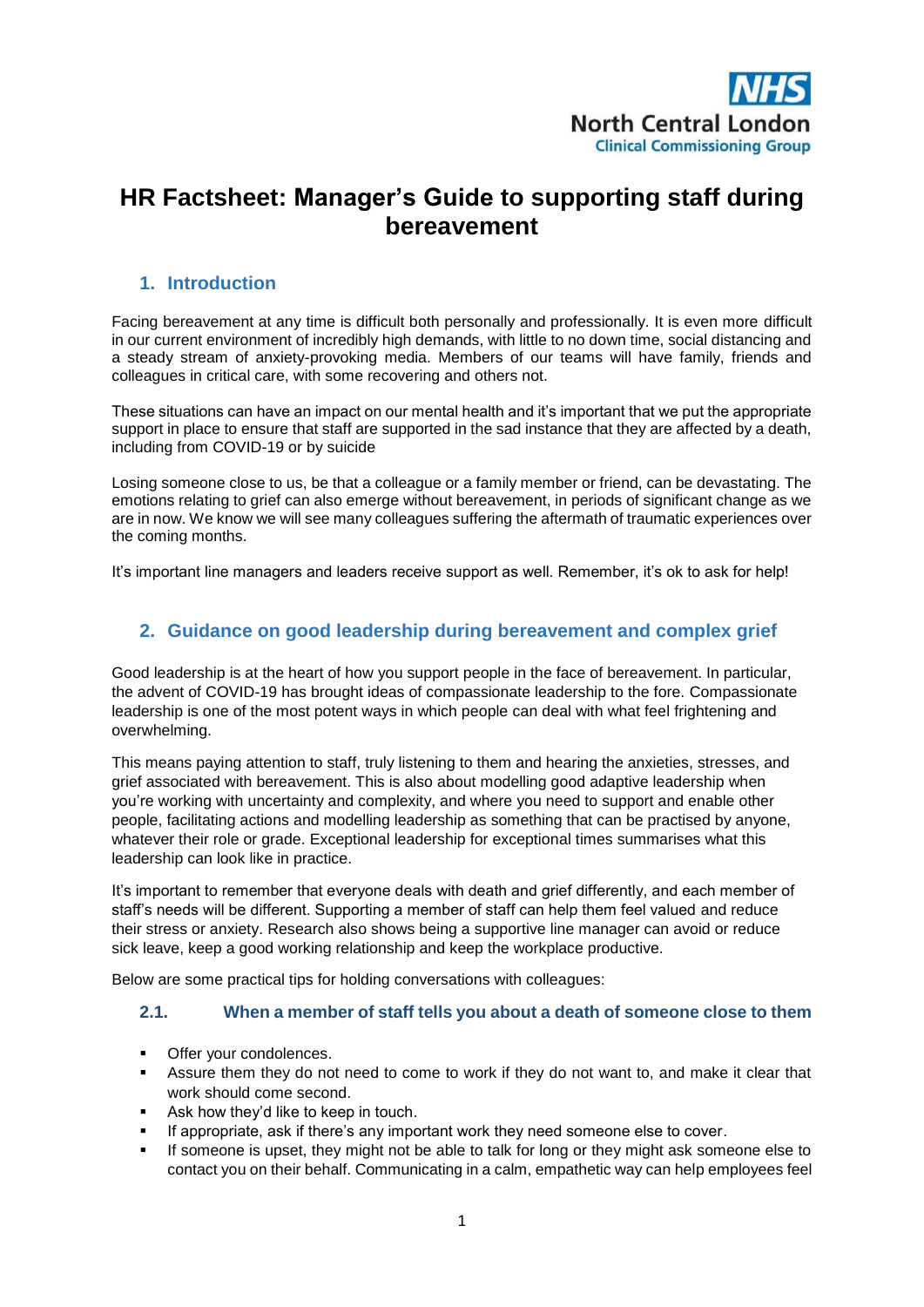

# **HR Factsheet: Manager's Guide to supporting staff during bereavement**

### **1. Introduction**

Facing bereavement at any time is difficult both personally and professionally. It is even more difficult in our current environment of incredibly high demands, with little to no down time, social distancing and a steady stream of anxiety-provoking media. Members of our teams will have family, friends and colleagues in critical care, with some recovering and others not.

These situations can have an impact on our mental health and it's important that we put the appropriate support in place to ensure that staff are supported in the sad instance that they are affected by a death, including from COVID-19 or by suicide

Losing someone close to us, be that a colleague or a family member or friend, can be devastating. The emotions relating to grief can also emerge without bereavement, in periods of significant change as we are in now. We know we will see many colleagues suffering the aftermath of traumatic experiences over the coming months.

It's important line managers and leaders receive support as well. Remember, it's ok to ask for help!

## **2. Guidance on good leadership during bereavement and complex grief**

Good leadership is at the heart of how you support people in the face of bereavement. In particular, the advent of COVID-19 has brought ideas of compassionate leadership to the fore. Compassionate leadership is one of the most potent ways in which people can deal with what feel frightening and overwhelming.

This means paying attention to staff, truly listening to them and hearing the anxieties, stresses, and grief associated with bereavement. This is also about modelling good adaptive leadership when you're working with uncertainty and complexity, and where you need to support and enable other people, facilitating actions and modelling leadership as something that can be practised by anyone, whatever their role or grade. Exceptional leadership for exceptional times summarises what this leadership can look like in practice.

It's important to remember that everyone deals with death and grief differently, and each member of staff's needs will be different. Supporting a member of staff can help them feel valued and reduce their stress or anxiety. Research also shows being a supportive line manager can avoid or reduce sick leave, keep a good working relationship and keep the workplace productive.

Below are some practical tips for holding conversations with colleagues:

#### **2.1. When a member of staff tells you about a death of someone close to them**

- **•** Offer your condolences.
- Assure them they do not need to come to work if they do not want to, and make it clear that work should come second.
- **Ask how they'd like to keep in touch.**
- If appropriate, ask if there's any important work they need someone else to cover.
- If someone is upset, they might not be able to talk for long or they might ask someone else to contact you on their behalf. Communicating in a calm, empathetic way can help employees feel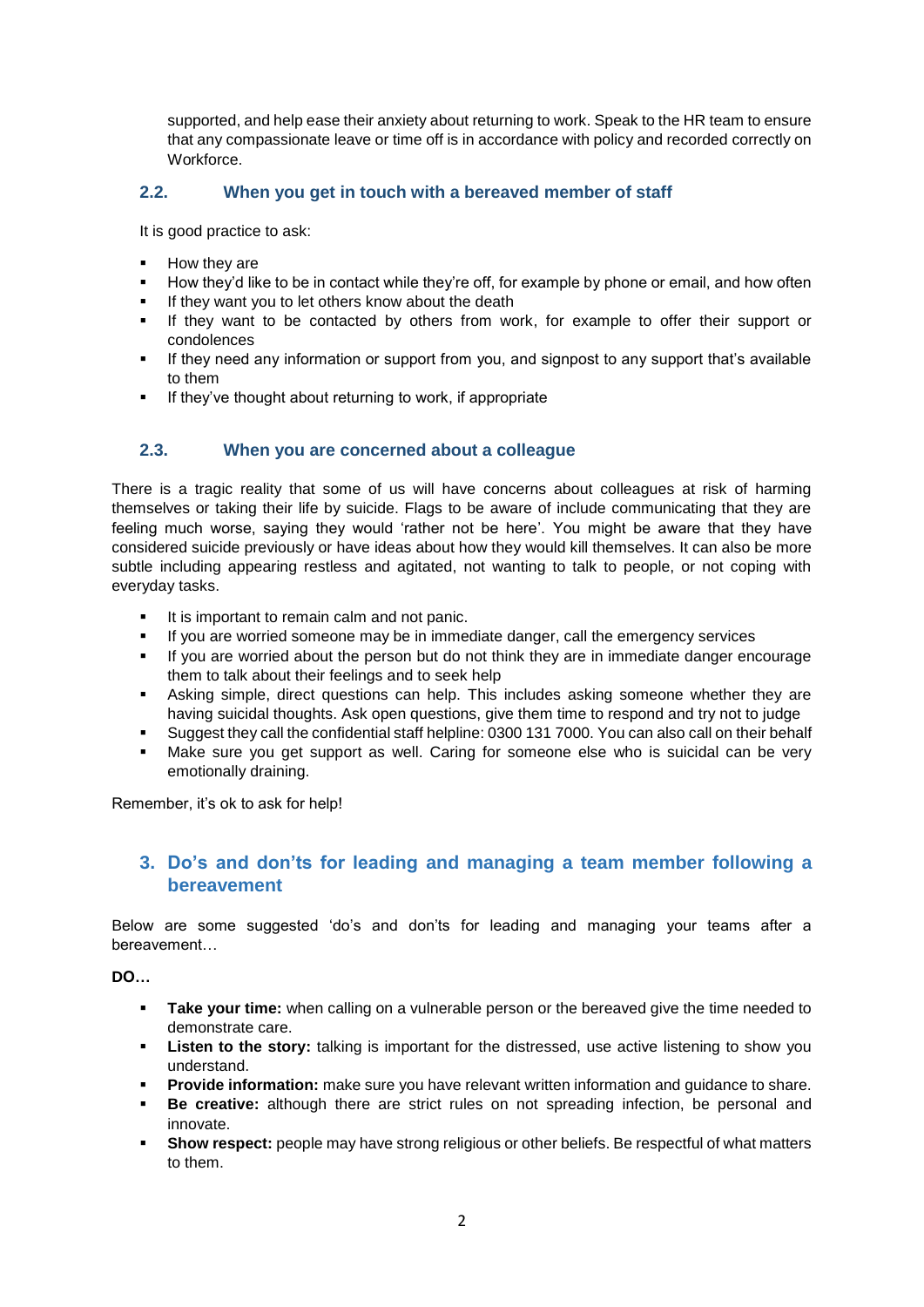supported, and help ease their anxiety about returning to work. Speak to the HR team to ensure that any compassionate leave or time off is in accordance with policy and recorded correctly on Workforce.

#### **2.2. When you get in touch with a bereaved member of staff**

It is good practice to ask:

- How they are
- How they'd like to be in contact while they're off, for example by phone or email, and how often
- If they want you to let others know about the death
- If they want to be contacted by others from work, for example to offer their support or condolences
- If they need any information or support from you, and signpost to any support that's available to them
- **If they've thought about returning to work, if appropriate**

### **2.3. When you are concerned about a colleague**

There is a tragic reality that some of us will have concerns about colleagues at risk of harming themselves or taking their life by suicide. Flags to be aware of include communicating that they are feeling much worse, saying they would 'rather not be here'. You might be aware that they have considered suicide previously or have ideas about how they would kill themselves. It can also be more subtle including appearing restless and agitated, not wanting to talk to people, or not coping with everyday tasks.

- It is important to remain calm and not panic.
- If you are worried someone may be in immediate danger, call the emergency services<br>If you are worried about the person but do not think they are in immediate danger eng
- If you are worried about the person but do not think they are in immediate danger encourage them to talk about their feelings and to seek help
- Asking simple, direct questions can help. This includes asking someone whether they are having suicidal thoughts. Ask open questions, give them time to respond and try not to judge
- Suggest they call the confidential staff helpline: 0300 131 7000. You can also call on their behalf
- Make sure you get support as well. Caring for someone else who is suicidal can be very emotionally draining.

Remember, it's ok to ask for help!

## **3. Do's and don'ts for leading and managing a team member following a bereavement**

Below are some suggested 'do's and don'ts for leading and managing your teams after a bereavement…

**DO…**

- **Take your time:** when calling on a vulnerable person or the bereaved give the time needed to demonstrate care.
- **Listen to the story:** talking is important for the distressed, use active listening to show you understand.
- **Provide information:** make sure you have relevant written information and guidance to share.
- **Be creative:** although there are strict rules on not spreading infection, be personal and innovate.
- **Show respect:** people may have strong religious or other beliefs. Be respectful of what matters to them.